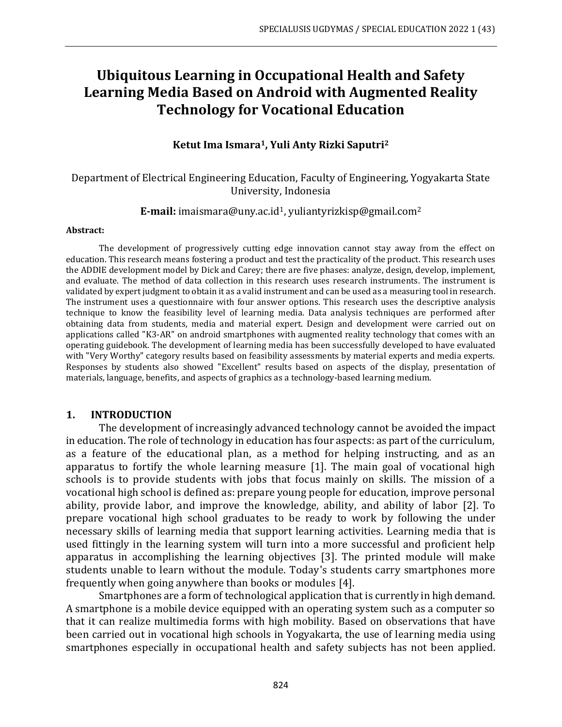# **Ubiquitous Learning in Occupational Health and Safety Learning Media Based on Android with Augmented Reality Technology for Vocational Education**

#### **Ketut Ima Ismara1, Yuli Anty Rizki Saputri<sup>2</sup>**

#### Department of Electrical Engineering Education, Faculty of Engineering, Yogyakarta State University, Indonesia

#### **E-mail:** [imaismara@uny.ac.id](mailto:imaismara@uny.ac.id1)1, [yuliantyrizkisp@gmail.com](mailto:yuliantyrizkisp@gmail.com2)<sup>2</sup>

#### **Abstract:**

The development of progressively cutting edge innovation cannot stay away from the effect on education. This research means fostering a product and test the practicality of the product. This research uses the ADDIE development model by Dick and Carey; there are five phases: analyze, design, develop, implement, and evaluate. The method of data collection in this research uses research instruments. The instrument is validated by expert judgment to obtain it as a valid instrument and can be used as a measuring tool in research. The instrument uses a questionnaire with four answer options. This research uses the descriptive analysis technique to know the feasibility level of learning media. Data analysis techniques are performed after obtaining data from students, media and material expert. Design and development were carried out on applications called "K3-AR" on android smartphones with augmented reality technology that comes with an operating guidebook. The development of learning media has been successfully developed to have evaluated with "Very Worthy" category results based on feasibility assessments by material experts and media experts. Responses by students also showed "Excellent" results based on aspects of the display, presentation of materials, language, benefits, and aspects of graphics as a technology-based learning medium.

#### **1. INTRODUCTION**

The development of increasingly advanced technology cannot be avoided the impact in education. The role of technology in education has four aspects: as part of the curriculum, as a feature of the educational plan, as a method for helping instructing, and as an apparatus to fortify the whole learning measure [1]. The main goal of vocational high schools is to provide students with jobs that focus mainly on skills. The mission of a vocational high school is defined as: prepare young people for education, improve personal ability, provide labor, and improve the knowledge, ability, and ability of labor [2]. To prepare vocational high school graduates to be ready to work by following the under necessary skills of learning media that support learning activities. Learning media that is used fittingly in the learning system will turn into a more successful and proficient help apparatus in accomplishing the learning objectives [3]. The printed module will make students unable to learn without the module. Today's students carry smartphones more frequently when going anywhere than books or modules [4].

Smartphones are a form of technological application that is currently in high demand. A smartphone is a mobile device equipped with an operating system such as a computer so that it can realize multimedia forms with high mobility. Based on observations that have been carried out in vocational high schools in Yogyakarta, the use of learning media using smartphones especially in occupational health and safety subjects has not been applied.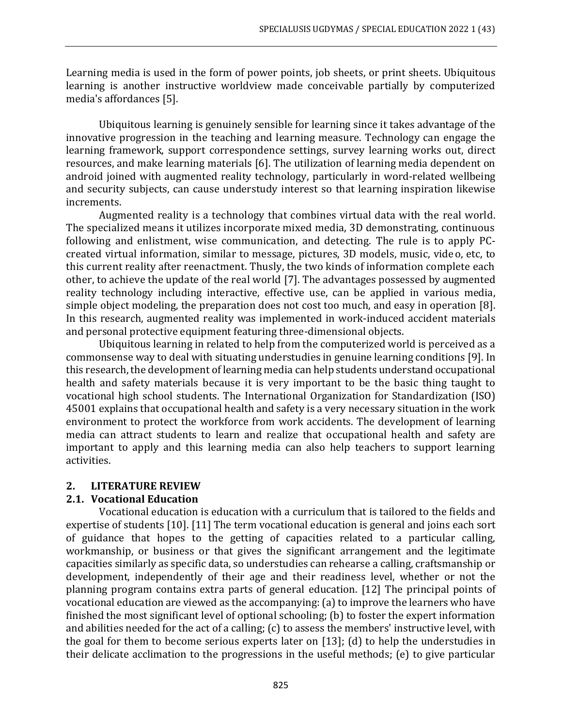Learning media is used in the form of power points, job sheets, or print sheets. Ubiquitous learning is another instructive worldview made conceivable partially by computerized media's affordances [5].

Ubiquitous learning is genuinely sensible for learning since it takes advantage of the innovative progression in the teaching and learning measure. Technology can engage the learning framework, support correspondence settings, survey learning works out, direct resources, and make learning materials [6]. The utilization of learning media dependent on android joined with augmented reality technology, particularly in word-related wellbeing and security subjects, can cause understudy interest so that learning inspiration likewise increments.

Augmented reality is a technology that combines virtual data with the real world. The specialized means it utilizes incorporate mixed media, 3D demonstrating, continuous following and enlistment, wise communication, and detecting. The rule is to apply PCcreated virtual information, similar to message, pictures, 3D models, music, video, etc, to this current reality after reenactment. Thusly, the two kinds of information complete each other, to achieve the update of the real world [7]. The advantages possessed by augmented reality technology including interactive, effective use, can be applied in various media, simple object modeling, the preparation does not cost too much, and easy in operation [8]. In this research, augmented reality was implemented in work-induced accident materials and personal protective equipment featuring three-dimensional objects.

Ubiquitous learning in related to help from the computerized world is perceived as a commonsense way to deal with situating understudies in genuine learning conditions [9]. In this research, the development of learning media can help students understand occupational health and safety materials because it is very important to be the basic thing taught to vocational high school students. The International Organization for Standardization (ISO) 45001 explains that occupational health and safety is a very necessary situation in the work environment to protect the workforce from work accidents. The development of learning media can attract students to learn and realize that occupational health and safety are important to apply and this learning media can also help teachers to support learning activities.

# **2. LITERATURE REVIEW**

#### **2.1. Vocational Education**

Vocational education is education with a curriculum that is tailored to the fields and expertise of students [10]. [11] The term vocational education is general and joins each sort of guidance that hopes to the getting of capacities related to a particular calling, workmanship, or business or that gives the significant arrangement and the legitimate capacities similarly as specific data, so understudies can rehearse a calling, craftsmanship or development, independently of their age and their readiness level, whether or not the planning program contains extra parts of general education. [12] The principal points of vocational education are viewed as the accompanying: (a) to improve the learners who have finished the most significant level of optional schooling; (b) to foster the expert information and abilities needed for the act of a calling; (c) to assess the members' instructive level, with the goal for them to become serious experts later on [13]; (d) to help the understudies in their delicate acclimation to the progressions in the useful methods; (e) to give particular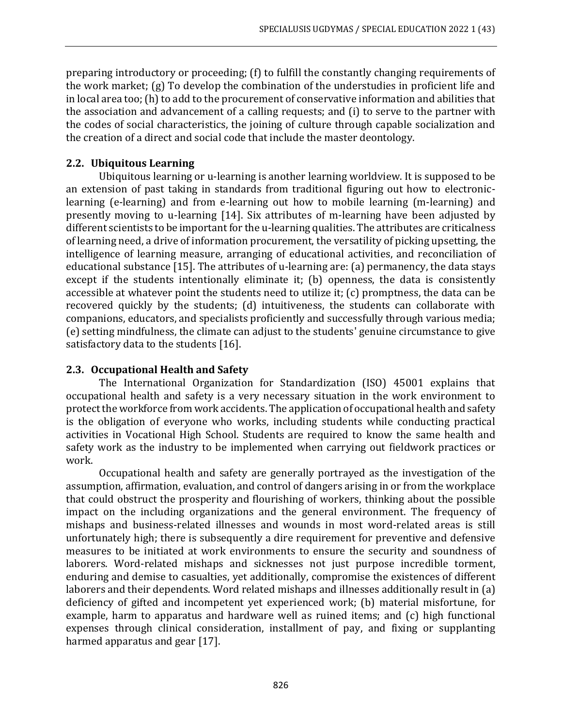preparing introductory or proceeding; (f) to fulfill the constantly changing requirements of the work market; (g) To develop the combination of the understudies in proficient life and in local area too; (h) tο add to the procurement of conservative information and abilities that the association and advancement of a calling requests; and (i) to serve to the partner with the codes of social characteristics, the joining of culture through capable socialization and the creation of a direct and social code that include the master deontology.

### **2.2. Ubiquitous Learning**

Ubiquitous learning or u-learning is another learning worldview. It is supposed to be an extension of past taking in standards from traditional figuring out how to electroniclearning (e-learning) and from e-learning out how to mobile learning (m-learning) and presently moving to u-learning [14]. Six attributes of m-learning have been adjusted by different scientists to be important for the u-learning qualities. The attributes are criticalness of learning need, a drive of information procurement, the versatility of picking upsetting, the intelligence of learning measure, arranging of educational activities, and reconciliation of educational substance [15]. The attributes of u-learning are: (a) permanency, the data stays except if the students intentionally eliminate it; (b) openness, the data is consistently accessible at whatever point the students need to utilize it; (c) promptness, the data can be recovered quickly by the students; (d) intuitiveness, the students can collaborate with companions, educators, and specialists proficiently and successfully through various media; (e) setting mindfulness, the climate can adjust to the students' genuine circumstance to give satisfactory data to the students [16].

### **2.3. Occupational Health and Safety**

The International Organization for Standardization (ISO) 45001 explains that occupational health and safety is a very necessary situation in the work environment to protect the workforce from work accidents. The application of occupational health and safety is the obligation of everyone who works, including students while conducting practical activities in Vocational High School. Students are required to know the same health and safety work as the industry to be implemented when carrying out fieldwork practices or work.

Occupational health and safety are generally portrayed as the investigation of the assumption, affirmation, evaluation, and control of dangers arising in or from the workplace that could obstruct the prosperity and flourishing of workers, thinking about the possible impact on the including organizations and the general environment. The frequency of mishaps and business-related illnesses and wounds in most word-related areas is still unfortunately high; there is subsequently a dire requirement for preventive and defensive measures to be initiated at work environments to ensure the security and soundness of laborers. Word-related mishaps and sicknesses not just purpose incredible torment, enduring and demise to casualties, yet additionally, compromise the existences of different laborers and their dependents. Word related mishaps and illnesses additionally result in (a) deficiency of gifted and incompetent yet experienced work; (b) material misfortune, for example, harm to apparatus and hardware well as ruined items; and (c) high functional expenses through clinical consideration, installment of pay, and fixing or supplanting harmed apparatus and gear [17].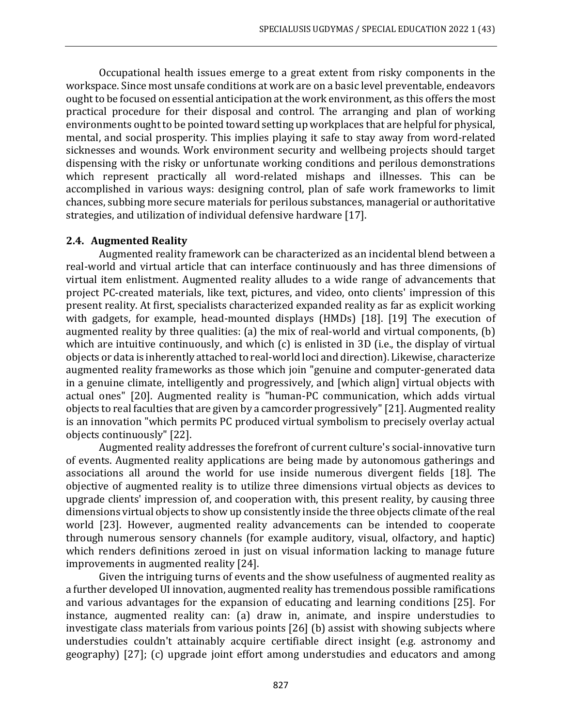Occupational health issues emerge to a great extent from risky components in the workspace. Since most unsafe conditions at work are on a basic level preventable, endeavors ought to be focused on essential anticipation at the work environment, as this offers the most practical procedure for their disposal and control. The arranging and plan of working environments ought to be pointed toward setting up workplaces that are helpful for physical, mental, and social prosperity. This implies playing it safe to stay away from word-related sicknesses and wounds. Work environment security and wellbeing projects should target dispensing with the risky or unfortunate working conditions and perilous demonstrations which represent practically all word-related mishaps and illnesses. This can be accomplished in various ways: designing control, plan of safe work frameworks to limit chances, subbing more secure materials for perilous substances, managerial or authoritative strategies, and utilization of individual defensive hardware [17].

#### **2.4. Augmented Reality**

Augmented reality framework can be characterized as an incidental blend between a real-world and virtual article that can interface continuously and has three dimensions of virtual item enlistment. Augmented reality alludes to a wide range of advancements that project PC-created materials, like text, pictures, and video, onto clients' impression of this present reality. At first, specialists characterized expanded reality as far as explicit working with gadgets, for example, head-mounted displays (HMDs) [18]. [19] The execution of augmented reality by three qualities: (a) the mix of real-world and virtual components, (b) which are intuitive continuously, and which (c) is enlisted in 3D (i.e., the display of virtual objects or data is inherently attached to real-world loci and direction). Likewise, characterize augmented reality frameworks as those which join "genuine and computer-generated data in a genuine climate, intelligently and progressively, and [which align] virtual objects with actual ones" [20]. Augmented reality is "human-PC communication, which adds virtual objects to real faculties that are given by a camcorder progressively"[21]. Augmented reality is an innovation "which permits PC produced virtual symbolism to precisely overlay actual objects continuously" [22].

Augmented reality addresses the forefront of current culture's social-innovative turn of events. Augmented reality applications are being made by autonomous gatherings and associations all around the world for use inside numerous divergent fields [18]. The objective of augmented reality is to utilize three dimensions virtual objects as devices to upgrade clients' impression of, and cooperation with, this present reality, by causing three dimensions virtual objects to show up consistently inside the three objects climate of the real world [23]. However, augmented reality advancements can be intended to cooperate through numerous sensory channels (for example auditory, visual, olfactory, and haptic) which renders definitions zeroed in just on visual information lacking to manage future improvements in augmented reality [24].

Given the intriguing turns of events and the show usefulness of augmented reality as a further developed UI innovation, augmented reality has tremendous possible ramifications and various advantages for the expansion of educating and learning conditions [25]. For instance, augmented reality can: (a) draw in, animate, and inspire understudies to investigate class materials from various points [26] (b) assist with showing subjects where understudies couldn't attainably acquire certifiable direct insight (e.g. astronomy and geography) [27]; (c) upgrade joint effort among understudies and educators and among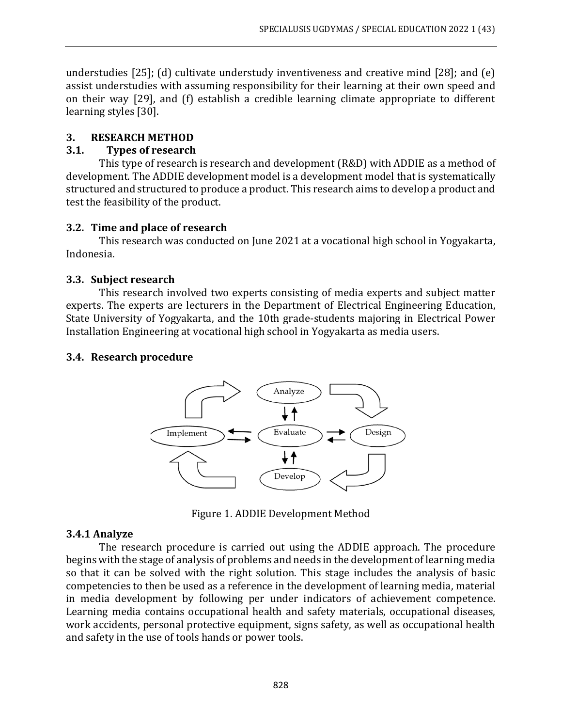understudies [25]; (d) cultivate understudy inventiveness and creative mind [28]; and (e) assist understudies with assuming responsibility for their learning at their own speed and on their way [29], and (f) establish a credible learning climate appropriate to different learning styles [30].

### **3. RESEARCH METHOD**

### **3.1. Types of research**

This type of research is research and development (R&D) with ADDIE as a method of development. The ADDIE development model is a development model that is systematically structured and structured to produce a product. This research aims to develop a product and test the feasibility of the product.

#### **3.2. Time and place of research**

This research was conducted on June 2021 at a vocational high school in Yogyakarta, Indonesia.

### **3.3. Subject research**

This research involved two experts consisting of media experts and subject matter experts. The experts are lecturers in the Department of Electrical Engineering Education, State University of Yogyakarta, and the 10th grade-students majoring in Electrical Power Installation Engineering at vocational high school in Yogyakarta as media users.

### **3.4. Research procedure**



Figure 1. ADDIE Development Method

# **3.4.1 Analyze**

The research procedure is carried out using the ADDIE approach. The procedure begins with the stage of analysis of problems and needs in the development of learning media so that it can be solved with the right solution. This stage includes the analysis of basic competencies to then be used as a reference in the development of learning media, material in media development by following per under indicators of achievement competence. Learning media contains occupational health and safety materials, occupational diseases, work accidents, personal protective equipment, signs safety, as well as occupational health and safety in the use of tools hands or power tools.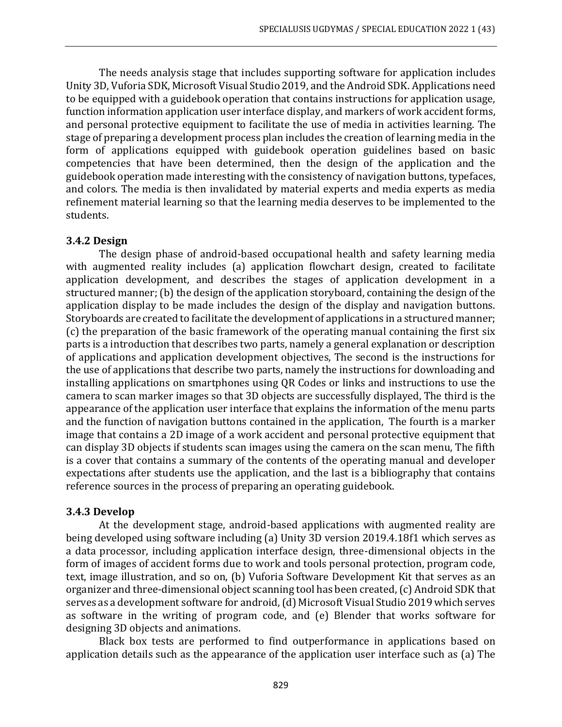The needs analysis stage that includes supporting software for application includes Unity 3D, Vuforia SDK, Microsoft Visual Studio 2019, and the Android SDK. Applications need to be equipped with a guidebook operation that contains instructions for application usage, function information application user interface display, and markers of work accident forms, and personal protective equipment to facilitate the use of media in activities learning. The stage of preparing a development process plan includes the creation of learning media in the form of applications equipped with guidebook operation guidelines based on basic competencies that have been determined, then the design of the application and the guidebook operation made interesting with the consistency of navigation buttons, typefaces, and colors. The media is then invalidated by material experts and media experts as media refinement material learning so that the learning media deserves to be implemented to the students.

#### **3.4.2 Design**

The design phase of android-based occupational health and safety learning media with augmented reality includes (a) application flowchart design, created to facilitate application development, and describes the stages of application development in a structured manner; (b) the design of the application storyboard, containing the design of the application display to be made includes the design of the display and navigation buttons. Storyboards are created to facilitate the development of applications in a structured manner; (c) the preparation of the basic framework of the operating manual containing the first six parts is a introduction that describes two parts, namely a general explanation or description of applications and application development objectives, The second is the instructions for the use of applications that describe two parts, namely the instructions for downloading and installing applications on smartphones using QR Codes or links and instructions to use the camera to scan marker images so that 3D objects are successfully displayed, The third is the appearance of the application user interface that explains the information of the menu parts and the function of navigation buttons contained in the application, The fourth is a marker image that contains a 2D image of a work accident and personal protective equipment that can display 3D objects if students scan images using the camera on the scan menu, The fifth is a cover that contains a summary of the contents of the operating manual and developer expectations after students use the application, and the last is a bibliography that contains reference sources in the process of preparing an operating guidebook.

#### **3.4.3 Develop**

At the development stage, android-based applications with augmented reality are being developed using software including (a) Unity 3D version 2019.4.18f1 which serves as a data processor, including application interface design, three-dimensional objects in the form of images of accident forms due to work and tools personal protection, program code, text, image illustration, and so on, (b) Vuforia Software Development Kit that serves as an organizer and three-dimensional object scanning tool has been created, (c) Android SDK that serves as a development software for android, (d) Microsoft Visual Studio 2019 which serves as software in the writing of program code, and (e) Blender that works software for designing 3D objects and animations.

Black box tests are performed to find outperformance in applications based on application details such as the appearance of the application user interface such as (a) The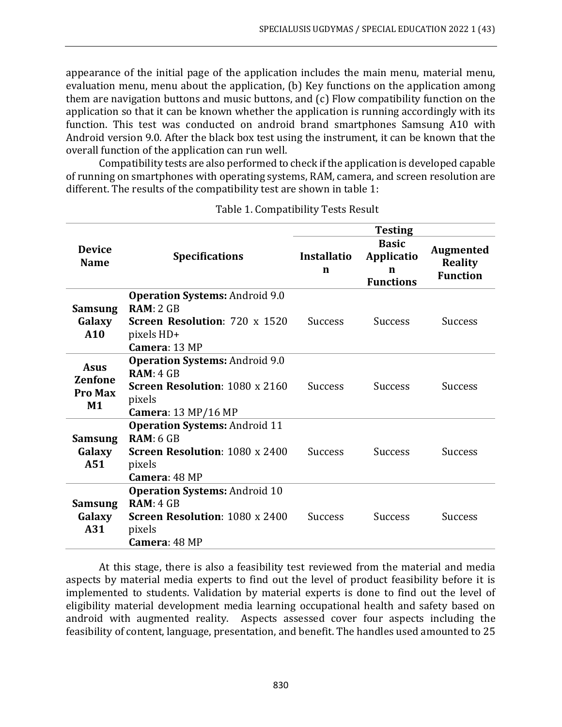appearance of the initial page of the application includes the main menu, material menu, evaluation menu, menu about the application, (b) Key functions on the application among them are navigation buttons and music buttons, and (c) Flow compatibility function on the application so that it can be known whether the application is running accordingly with its function. This test was conducted on android brand smartphones Samsung A10 with Android version 9.0. After the black box test using the instrument, it can be known that the overall function of the application can run well.

Compatibility tests are also performed to check if the application is developed capable of running on smartphones with operating systems, RAM, camera, and screen resolution are different. The results of the compatibility test are shown in table 1:

|                                                       |                                                                                                                                     | <b>Testing</b>          |                                                     |                                                       |  |
|-------------------------------------------------------|-------------------------------------------------------------------------------------------------------------------------------------|-------------------------|-----------------------------------------------------|-------------------------------------------------------|--|
| <b>Device</b><br><b>Name</b>                          | <b>Specifications</b>                                                                                                               | <b>Installatio</b><br>n | <b>Basic</b><br>Applicatio<br>n<br><b>Functions</b> | <b>Augmented</b><br><b>Reality</b><br><b>Function</b> |  |
| <b>Samsung</b><br>Galaxy<br>A10                       | <b>Operation Systems: Android 9.0</b><br>RAM: 2 GB<br>Screen Resolution: 720 x 1520<br>pixels HD+<br>Camera: 13 MP                  | <b>Success</b>          | <b>Success</b>                                      | <b>Success</b>                                        |  |
| <b>Asus</b><br><b>Zenfone</b><br><b>Pro Max</b><br>M1 | <b>Operation Systems: Android 9.0</b><br>RAM: 4 GB<br><b>Screen Resolution: 1080 x 2160</b><br>pixels<br><b>Camera:</b> 13 MP/16 MP | <b>Success</b>          | <b>Success</b>                                      | Success                                               |  |
| <b>Samsung</b><br>Galaxy<br>A51                       | <b>Operation Systems: Android 11</b><br>RAM: 6 GB<br>Screen Resolution: 1080 x 2400<br>pixels<br>Camera: 48 MP                      | <b>Success</b>          | <b>Success</b>                                      | Success                                               |  |
| <b>Samsung</b><br>Galaxy<br>A31                       | <b>Operation Systems: Android 10</b><br>RAM: 4 GB<br><b>Screen Resolution: 1080 x 2400</b><br>pixels<br>Camera: 48 MP               | <b>Success</b>          | <b>Success</b>                                      | <b>Success</b>                                        |  |

Table 1. Compatibility Tests Result

At this stage, there is also a feasibility test reviewed from the material and media aspects by material media experts to find out the level of product feasibility before it is implemented to students. Validation by material experts is done to find out the level of eligibility material development media learning occupational health and safety based on android with augmented reality. Aspects assessed cover four aspects including the feasibility of content, language, presentation, and benefit. The handles used amounted to 25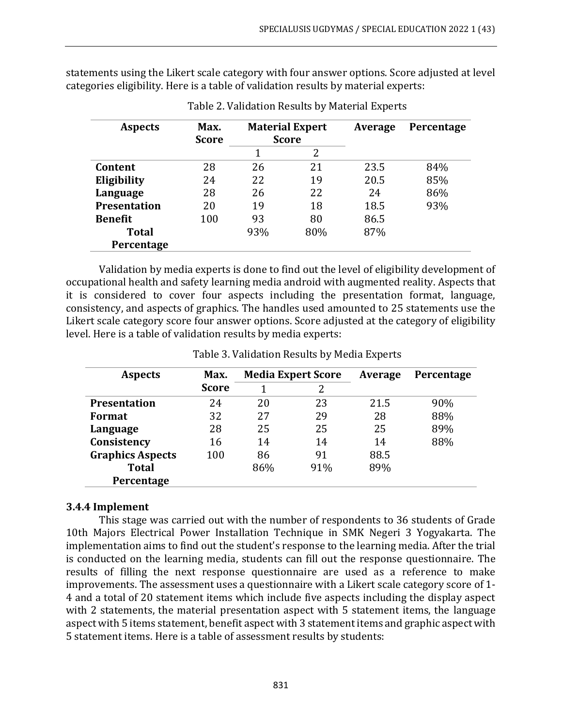statements using the Likert scale category with four answer options. Score adjusted at level categories eligibility. Here is a table of validation results by material experts:

| <b>Aspects</b>      | Max.<br><b>Score</b> | <b>Material Expert</b><br><b>Score</b> |     | Average | Percentage |
|---------------------|----------------------|----------------------------------------|-----|---------|------------|
|                     |                      |                                        | 2   |         |            |
| Content             | 28                   | 26                                     | 21  | 23.5    | 84%        |
| Eligibility         | 24                   | 22                                     | 19  | 20.5    | 85%        |
| Language            | 28                   | 26                                     | 22  | 24      | 86%        |
| <b>Presentation</b> | 20                   | 19                                     | 18  | 18.5    | 93%        |
| <b>Benefit</b>      | 100                  | 93                                     | 80  | 86.5    |            |
| <b>Total</b>        |                      | 93%                                    | 80% | 87%     |            |
| Percentage          |                      |                                        |     |         |            |

Table 2. Validation Results by Material Experts

Validation by media experts is done to find out the level of eligibility development of occupational health and safety learning media android with augmented reality. Aspects that it is considered to cover four aspects including the presentation format, language, consistency, and aspects of graphics. The handles used amounted to 25 statements use the Likert scale category score four answer options. Score adjusted at the category of eligibility level. Here is a table of validation results by media experts:

| <b>Aspects</b>          | Max.         | <b>Media Expert Score</b> |     | Average | Percentage |
|-------------------------|--------------|---------------------------|-----|---------|------------|
|                         | <b>Score</b> |                           | 2   |         |            |
| <b>Presentation</b>     | 24           | 20                        | 23  | 21.5    | 90%        |
| Format                  | 32           | 27                        | 29  | 28      | 88%        |
| Language                | 28           | 25                        | 25  | 25      | 89%        |
| Consistency             | 16           | 14                        | 14  | 14      | 88%        |
| <b>Graphics Aspects</b> | 100          | 86                        | 91  | 88.5    |            |
| Total                   |              | 86%                       | 91% | 89%     |            |
| Percentage              |              |                           |     |         |            |

Table 3. Validation Results by Media Experts

#### **3.4.4 Implement**

This stage was carried out with the number of respondents to 36 students of Grade 10th Majors Electrical Power Installation Technique in SMK Negeri 3 Yogyakarta. The implementation aims to find out the student's response to the learning media. After the trial is conducted on the learning media, students can fill out the response questionnaire. The results of filling the next response questionnaire are used as a reference to make improvements. The assessment uses a questionnaire with a Likert scale category score of 1- 4 and a total of 20 statement items which include five aspects including the display aspect with 2 statements, the material presentation aspect with 5 statement items, the language aspect with 5 items statement, benefit aspect with 3 statement items and graphic aspect with 5 statement items. Here is a table of assessment results by students: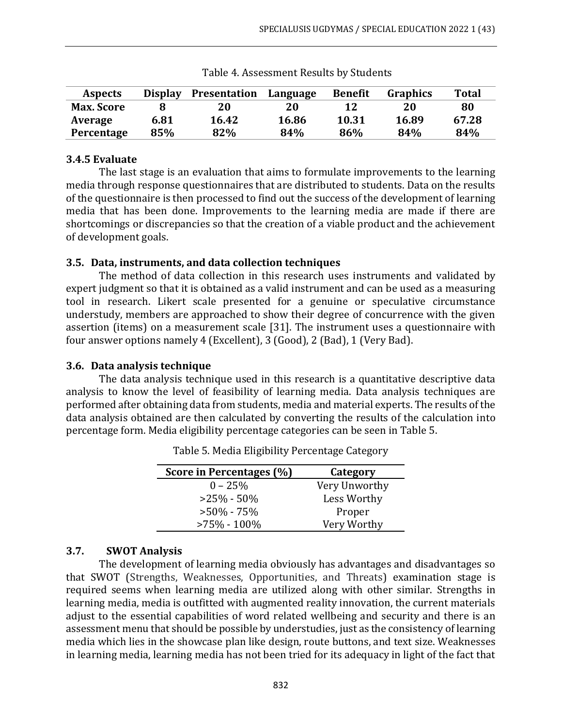| <b>Aspects</b>    | <b>Display</b> | <b>Presentation</b> | Language | <b>Benefit</b> | <b>Graphics</b> | <b>Total</b> |
|-------------------|----------------|---------------------|----------|----------------|-----------------|--------------|
| <b>Max. Score</b> |                | 20                  | 20       | 12             | 20              | 80           |
| Average           | 6.81           | 16.42               | 16.86    | 10.31          | 16.89           | 67.28        |
| Percentage        | 85%            | 82%                 | 84%      | 86%            | 84%             | 84%          |

Table 4. Assessment Results by Students

#### **3.4.5 Evaluate**

The last stage is an evaluation that aims to formulate improvements to the learning media through response questionnaires that are distributed to students. Data on the results of the questionnaire is then processed to find out the success of the development of learning media that has been done. Improvements to the learning media are made if there are shortcomings or discrepancies so that the creation of a viable product and the achievement of development goals.

#### **3.5. Data, instruments, and data collection techniques**

The method of data collection in this research uses instruments and validated by expert judgment so that it is obtained as a valid instrument and can be used as a measuring tool in research. Likert scale presented for a genuine or speculative circumstance understudy, members are approached to show their degree of concurrence with the given assertion (items) on a measurement scale [31]. The instrument uses a questionnaire with four answer options namely 4 (Excellent), 3 (Good), 2 (Bad), 1 (Very Bad).

#### **3.6. Data analysis technique**

The data analysis technique used in this research is a quantitative descriptive data analysis to know the level of feasibility of learning media. Data analysis techniques are performed after obtaining data from students, media and material experts. The results of the data analysis obtained are then calculated by converting the results of the calculation into percentage form. Media eligibility percentage categories can be seen in Table 5.

| Score in Percentages (%) | Category      |  |  |
|--------------------------|---------------|--|--|
| $0 - 25%$                | Very Unworthy |  |  |
| $>25\% - 50\%$           | Less Worthy   |  |  |
| $>50\% - 75\%$           | Proper        |  |  |
| $>75\% - 100\%$          | Very Worthy   |  |  |

Table 5. Media Eligibility Percentage Category

#### **3.7. SWOT Analysis**

The development of learning media obviously has advantages and disadvantages so that SWOT (Strengths, Weaknesses, Opportunities, and Threats) examination stage is required seems when learning media are utilized along with other similar. Strengths in learning media, media is outfitted with augmented reality innovation, the current materials adjust to the essential capabilities of word related wellbeing and security and there is an assessment menu that should be possible by understudies, just as the consistency of learning media which lies in the showcase plan like design, route buttons, and text size. Weaknesses in learning media, learning media has not been tried for its adequacy in light of the fact that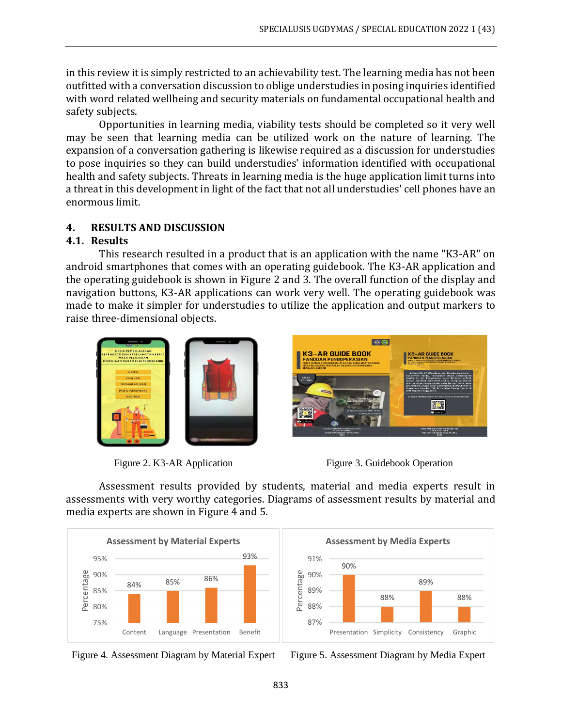in this review it is simply restricted to an achievability test. The learning media has not been outfitted with a conversation discussion to oblige understudies in posing inquiries identified with word related wellbeing and security materials on fundamental occupational health and safety subjects.

Opportunities in learning media, viability tests should be completed so it very well may be seen that learning media can be utilized work on the nature of learning. The expansion of a conversation gathering is likewise required as a discussion for understudies to pose inquiries so they can build understudies' information identified with occupational health and safety subjects. Threats in learning media is the huge application limit turns into a threat in this development in light of the fact that not all understudies' cell phones have an enormous limit.

# **4. RESULTS AND DISCUSSION**

### **4.1. Results**

This research resulted in a product that is an application with the name "K3-AR" on android smartphones that comes with an operating guidebook. The K3-AR application and the operating guidebook is shown in Figure 2 and 3. The overall function of the display and navigation buttons, K3-AR applications can work very well. The operating guidebook was made to make it simpler for understudies to utilize the application and output markers to raise three-dimensional objects.





Figure 2. K3-AR Application Figure 3. Guidebook Operation

Assessment results provided by students, material and media experts result in assessments with very worthy categories. Diagrams of assessment results by material and media experts are shown in Figure 4 and 5.



90% 88% 89% 88% 87% 88% 89% 90% 91% Presentation Simplicity Consistency Graphic Percentage **Assessment by Media Experts**

Figure 4. Assessment Diagram by Material Expert Figure 5. Assessment Diagram by Media Expert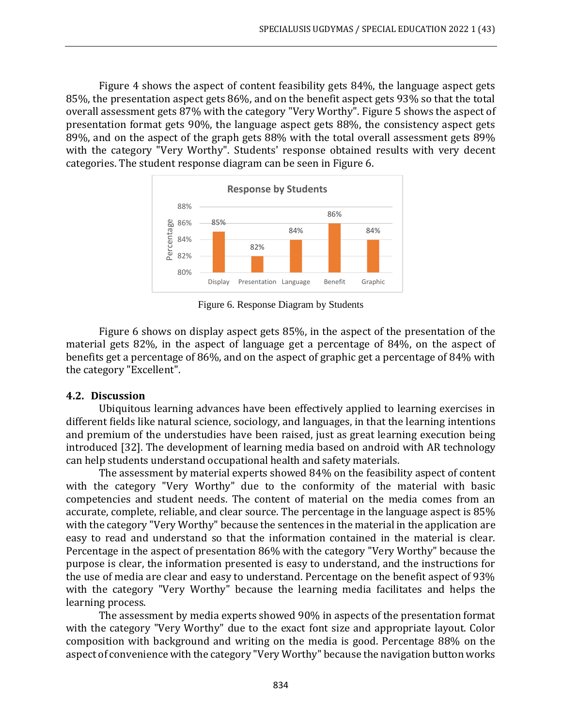Figure 4 shows the aspect of content feasibility gets 84%, the language aspect gets 85%, the presentation aspect gets 86%, and on the benefit aspect gets 93% so that the total overall assessment gets 87% with the category "Very Worthy". Figure 5 shows the aspect of presentation format gets 90%, the language aspect gets 88%, the consistency aspect gets 89%, and on the aspect of the graph gets 88% with the total overall assessment gets 89% with the category "Very Worthy". Students' response obtained results with very decent categories. The student response diagram can be seen in Figure 6.



Figure 6. Response Diagram by Students

Figure 6 shows on display aspect gets 85%, in the aspect of the presentation of the material gets 82%, in the aspect of language get a percentage of 84%, on the aspect of benefits get a percentage of 86%, and on the aspect of graphic get a percentage of 84% with the category "Excellent".

#### **4.2. Discussion**

Ubiquitous learning advances have been effectively applied to learning exercises in different fields like natural science, sociology, and languages, in that the learning intentions and premium of the understudies have been raised, just as great learning execution being introduced [32]. The development of learning media based on android with AR technology can help students understand occupational health and safety materials.

The assessment by material experts showed 84% on the feasibility aspect of content with the category "Very Worthy" due to the conformity of the material with basic competencies and student needs. The content of material on the media comes from an accurate, complete, reliable, and clear source. The percentage in the language aspect is 85% with the category "Very Worthy" because the sentences in the material in the application are easy to read and understand so that the information contained in the material is clear. Percentage in the aspect of presentation 86% with the category "Very Worthy" because the purpose is clear, the information presented is easy to understand, and the instructions for the use of media are clear and easy to understand. Percentage on the benefit aspect of 93% with the category "Very Worthy" because the learning media facilitates and helps the learning process.

The assessment by media experts showed 90% in aspects of the presentation format with the category "Very Worthy" due to the exact font size and appropriate layout. Color composition with background and writing on the media is good. Percentage 88% on the aspect of convenience with the category "Very Worthy" because the navigation button works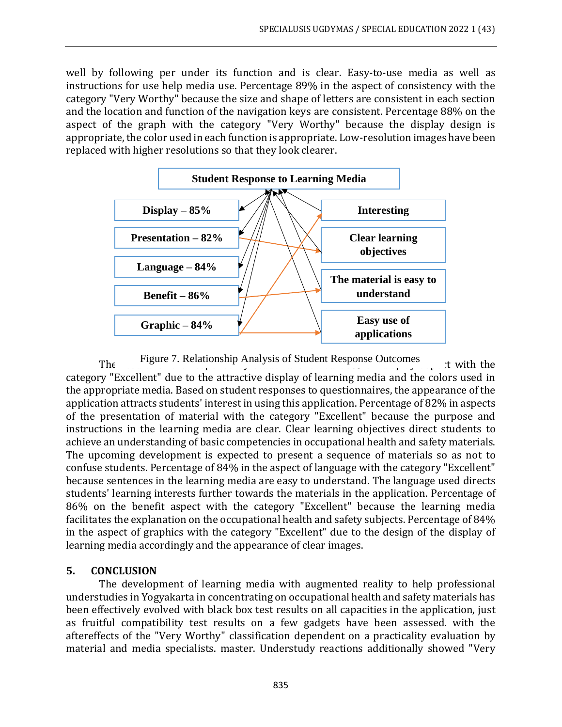well by following per under its function and is clear. Easy-to-use media as well as instructions for use help media use. Percentage 89% in the aspect of consistency with the category "Very Worthy" because the size and shape of letters are consistent in each section and the location and function of the navigation keys are consistent. Percentage 88% on the aspect of the graph with the category "Very Worthy" because the display design is appropriate, the color used in each function is appropriate. Low-resolution images have been replaced with higher resolutions so that they look clearer.



The Figure 7. Relationship Analysis of Student Response Outcomes  $\cdot$  t with the category "Excellent" due to the attractive display of learning media and the colors used in the appropriate media. Based on student responses to questionnaires, the appearance of the application attracts students' interest in using this application. Percentage of 82% in aspects of the presentation of material with the category "Excellent" because the purpose and instructions in the learning media are clear. Clear learning objectives direct students to achieve an understanding of basic competencies in occupational health and safety materials. The upcoming development is expected to present a sequence of materials so as not to confuse students. Percentage of 84% in the aspect of language with the category "Excellent" because sentences in the learning media are easy to understand. The language used directs students' learning interests further towards the materials in the application. Percentage of 86% on the benefit aspect with the category "Excellent" because the learning media facilitates the explanation on the occupational health and safety subjects. Percentage of 84% in the aspect of graphics with the category "Excellent" due to the design of the display of learning media accordingly and the appearance of clear images.

#### **5. CONCLUSION**

The development of learning media with augmented reality to help professional understudies in Yogyakarta in concentrating on occupational health and safety materials has been effectively evolved with black box test results on all capacities in the application, just as fruitful compatibility test results on a few gadgets have been assessed. with the aftereffects of the "Very Worthy" classification dependent on a practicality evaluation by material and media specialists. master. Understudy reactions additionally showed "Very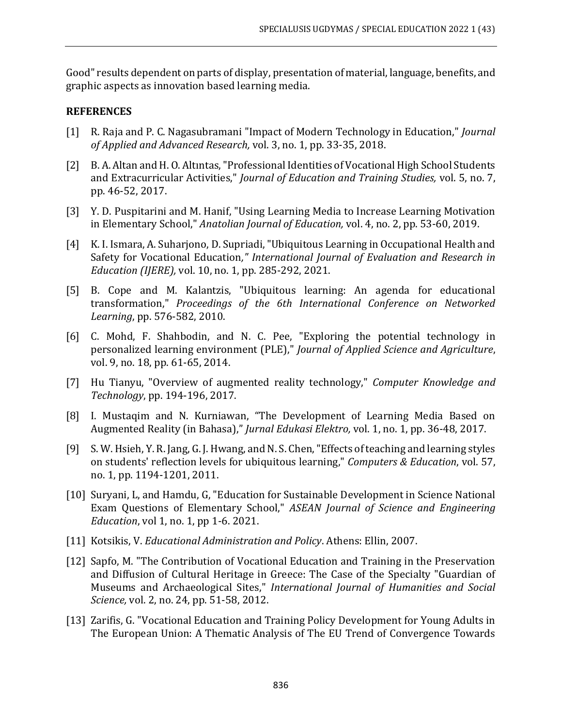Good" results dependent on parts of display, presentation of material, language, benefits, and graphic aspects as innovation based learning media.

#### **REFERENCES**

- [1] R. Raja and P. C. Nagasubramani "Impact of Modern Technology in Education," *Journal of Applied and Advanced Research,* vol. 3, no. 1, pp. 33-35, 2018.
- [2] B. A. Altan and H. O. Altıntas, "Professional Identities of Vocational High School Students and Extracurricular Activities," *Journal of Education and Training Studies,* vol. 5, no. 7, pp. 46-52, 2017.
- [3] Y. D. Puspitarini and M. Hanif, "Using Learning Media to Increase Learning Motivation in Elementary School," *Anatolian Journal of Education,* vol. 4, no. 2, pp. 53-60, 2019.
- [4] K. I. Ismara, A. Suharjono, D. Supriadi, "Ubiquitous Learning in Occupational Health and Safety for Vocational Education*," International Journal of Evaluation and Research in Education (IJERE),* vol. 10, no. 1, pp. 285-292, 2021.
- [5] B. Cope and M. Kalantzis, "Ubiquitous learning: An agenda for educational transformation," *Proceedings of the 6th International Conference on Networked Learning*, pp. 576-582, 2010.
- [6] C. Mohd, F. Shahbodin, and N. C. Pee, "Exploring the potential technology in personalized learning environment (PLE)," *Journal of Applied Science and Agriculture*, vol. 9, no. 18, pp. 61-65, 2014.
- [7] Hu Tianyu, "Overview of augmented reality technology," *Computer Knowledge and Technology*, pp. 194-196, 2017.
- [8] I. Mustaqim and N. Kurniawan, "The Development of Learning Media Based on Augmented Reality (in Bahasa)," *Jurnal Edukasi Elektro,* vol. 1, no. 1, pp. 36-48, 2017.
- [9] S. W. Hsieh, Y. R. Jang, G. J. Hwang, and N. S. Chen, "Effects of teaching and learning styles on students' reflection levels for ubiquitous learning," *Computers & Education*, vol. 57, no. 1, pp. 1194-1201, 2011.
- [10] Suryani, L, and Hamdu, G, "Education for Sustainable Development in Science National Exam Questions of Elementary School," *ASEAN Journal of Science and Engineering Education*, vol 1, no. 1, pp 1-6. 2021.
- [11] Kotsikis, V. *Educational Administration and Policy*. Athens: Ellin, 2007.
- [12] Sapfo, M. "The Contribution of Vocational Education and Training in the Preservation and Diffusion of Cultural Heritage in Greece: The Case of the Specialty "Guardian of Museums and Archaeological Sites," *International Journal of Humanities and Social Science,* vol. 2, no. 24, pp. 51-58, 2012.
- [13] Zarifis, G. "Vocational Education and Training Policy Development for Young Adults in The European Union: A Thematic Analysis of The EU Trend of Convergence Towards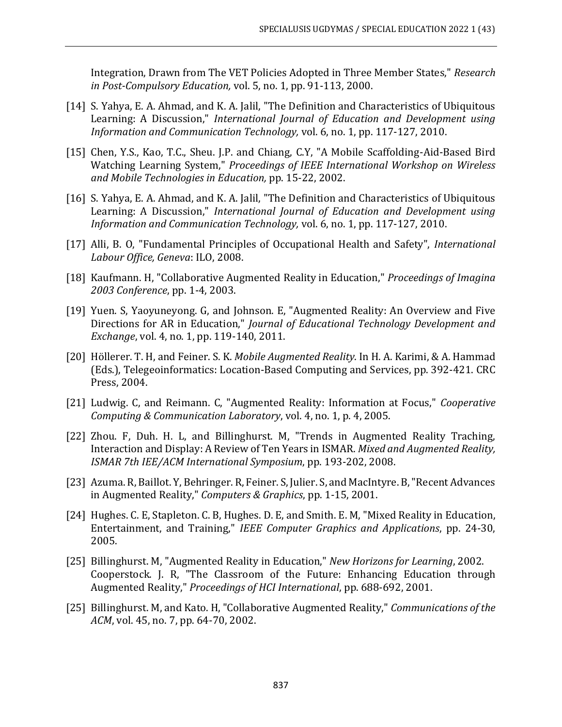Integration, Drawn from The VET Policies Adopted in Three Member States," *Research in Post-Compulsory Education,* vol. 5, no. 1, pp. 91-113, 2000.

- [14] S. Yahya, E. A. Ahmad, and K. A. Jalil, "The Definition and Characteristics of Ubiquitous Learning: A Discussion," *International Journal of Education and Development using Information and Communication Technology,* vol. 6, no. 1, pp. 117-127, 2010.
- [15] Chen, Y.S., Kao, T.C., Sheu. J.P. and Chiang, C.Y, "A Mobile Scaffolding-Aid-Based Bird Watching Learning System," *Proceedings of IEEE International Workshop on Wireless and Mobile Technologies in Education,* pp. 15-22, 2002.
- [16] S. Yahya, E. A. Ahmad, and K. A. Jalil, "The Definition and Characteristics of Ubiquitous Learning: A Discussion," *International Journal of Education and Development using Information and Communication Technology,* vol. 6, no. 1, pp. 117-127, 2010.
- [17] Alli, B. O, "Fundamental Principles of Occupational Health and Safety", *International Labour Office, Geneva*: ILO, 2008.
- [18] Kaufmann. H, "Collaborative Augmented Reality in Education," *Proceedings of Imagina 2003 Conference*, pp. 1-4, 2003.
- [19] Yuen. S, Yaoyuneyong. G, and Johnson. E, "Augmented Reality: An Overview and Five Directions for AR in Education," *Journal of Educational Technology Development and Exchange*, vol. 4, no. 1, pp. 119-140, 2011.
- [20] Höllerer. T. H, and Feiner. S. K. *Mobile Augmented Reality*. In H. A. Karimi, & A. Hammad (Eds.), Telegeoinformatics: Location-Based Computing and Services, pp. 392-421. CRC Press, 2004.
- [21] Ludwig. C, and Reimann. C, "Augmented Reality: Information at Focus," *Cooperative Computing & Communication Laboratory*, vol. 4, no. 1, p. 4, 2005.
- [22] Zhou. F, Duh. H. L, and Billinghurst. M, "Trends in Augmented Reality Traching, Interaction and Display: A Review of Ten Years in ISMAR. *Mixed and Augmented Reality, ISMAR 7th IEE/ACM International Symposium*, pp. 193-202, 2008.
- [23] Azuma. R, Baillot. Y, Behringer. R, Feiner. S, Julier. S, and MacIntyre. B, "Recent Advances in Augmented Reality," *Computers & Graphics*, pp. 1-15, 2001.
- [24] Hughes. C. E, Stapleton. C. B, Hughes. D. E, and Smith. E. M, "Mixed Reality in Education, Entertainment, and Training," *IEEE Computer Graphics and Applications*, pp. 24-30, 2005.
- [25] Billinghurst. M, "Augmented Reality in Education," *New Horizons for Learning*, 2002. Cooperstock. J. R, "The Classroom of the Future: Enhancing Education through Augmented Reality," *Proceedings of HCI International*, pp. 688-692, 2001.
- [25] Billinghurst. M, and Kato. H, "Collaborative Augmented Reality," *Communications of the ACM*, vol. 45, no. 7, pp. 64-70, 2002.